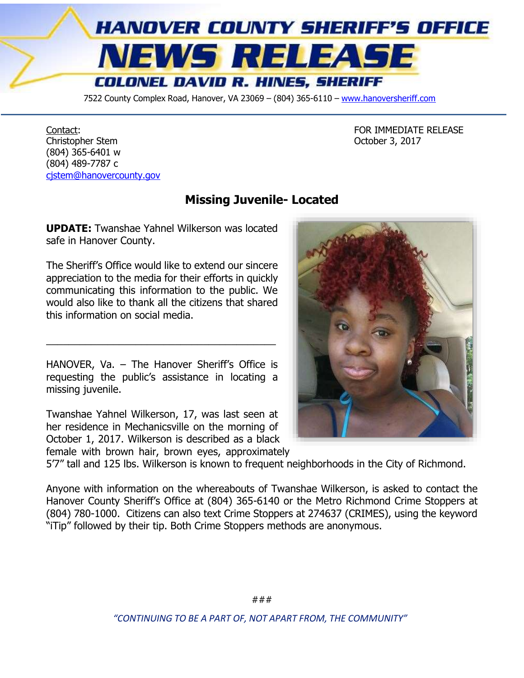

7522 County Complex Road, Hanover, VA 23069 - (804) 365-6110 - [www.hanoversheriff.com](http://www.hanoversheriff.com/)

Contact: **FOR IMMEDIATE RELEASE** Christopher Stem October 3, 2017 (804) 365-6401 w (804) 489-7787 c [cjstem@hanovercounty.gov](mailto:cjstem@hanovercounty.gov)

## **Missing Juvenile- Located**

**UPDATE:** Twanshae Yahnel Wilkerson was located safe in Hanover County.

The Sheriff's Office would like to extend our sincere appreciation to the media for their efforts in quickly communicating this information to the public. We would also like to thank all the citizens that shared this information on social media.

HANOVER, Va. – The Hanover Sheriff's Office is requesting the public's assistance in locating a missing juvenile.

\_\_\_\_\_\_\_\_\_\_\_\_\_\_\_\_\_\_\_\_\_\_\_\_\_\_\_\_\_\_\_\_\_\_\_\_\_\_\_\_\_

Twanshae Yahnel Wilkerson, 17, was last seen at her residence in Mechanicsville on the morning of October 1, 2017. Wilkerson is described as a black

female with brown hair, brown eyes, approximately



Anyone with information on the whereabouts of Twanshae Wilkerson, is asked to contact the Hanover County Sheriff's Office at (804) 365-6140 or the Metro Richmond Crime Stoppers at (804) 780-1000. Citizens can also text Crime Stoppers at 274637 (CRIMES), using the keyword "iTip" followed by their tip. Both Crime Stoppers methods are anonymous.